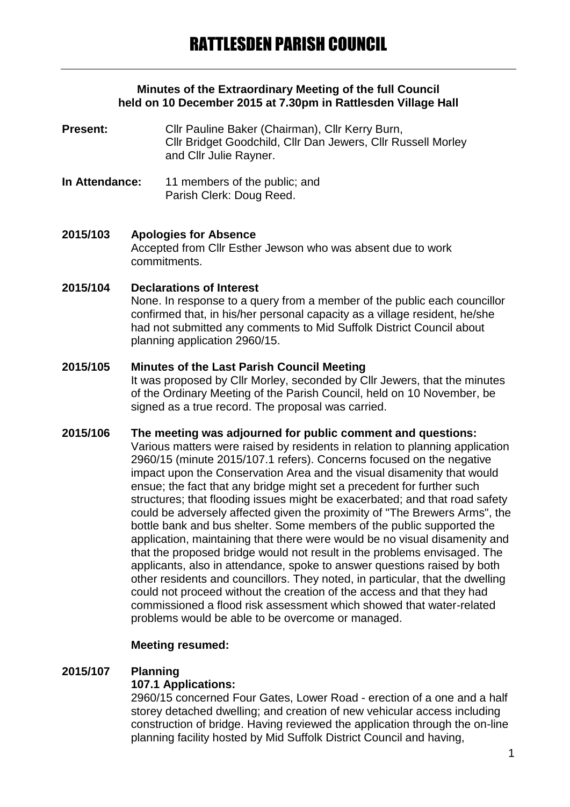## **Minutes of the Extraordinary Meeting of the full Council held on 10 December 2015 at 7.30pm in Rattlesden Village Hall**

**Present:** Cllr Pauline Baker (Chairman), Cllr Kerry Burn, Cllr Bridget Goodchild, Cllr Dan Jewers, Cllr Russell Morley and Cllr Julie Rayner.

**In Attendance:** 11 members of the public; and Parish Clerk: Doug Reed.

#### **2015/103 Apologies for Absence** Accepted from Cllr Esther Jewson who was absent due to work commitments.

# **2015/104 Declarations of Interest**

None. In response to a query from a member of the public each councillor confirmed that, in his/her personal capacity as a village resident, he/she had not submitted any comments to Mid Suffolk District Council about planning application 2960/15.

## **2015/105 Minutes of the Last Parish Council Meeting**

It was proposed by Cllr Morley, seconded by Cllr Jewers, that the minutes of the Ordinary Meeting of the Parish Council, held on 10 November, be signed as a true record. The proposal was carried.

## **2015/106 The meeting was adjourned for public comment and questions:** Various matters were raised by residents in relation to planning application 2960/15 (minute 2015/107.1 refers). Concerns focused on the negative impact upon the Conservation Area and the visual disamenity that would ensue; the fact that any bridge might set a precedent for further such structures; that flooding issues might be exacerbated; and that road safety could be adversely affected given the proximity of "The Brewers Arms", the bottle bank and bus shelter. Some members of the public supported the application, maintaining that there were would be no visual disamenity and that the proposed bridge would not result in the problems envisaged. The applicants, also in attendance, spoke to answer questions raised by both other residents and councillors. They noted, in particular, that the dwelling could not proceed without the creation of the access and that they had commissioned a flood risk assessment which showed that water-related problems would be able to be overcome or managed.

# **Meeting resumed:**

#### **2015/107 Planning**

#### **107.1 Applications:**

2960/15 concerned Four Gates, Lower Road - erection of a one and a half storey detached dwelling; and creation of new vehicular access including construction of bridge. Having reviewed the application through the on-line planning facility hosted by Mid Suffolk District Council and having,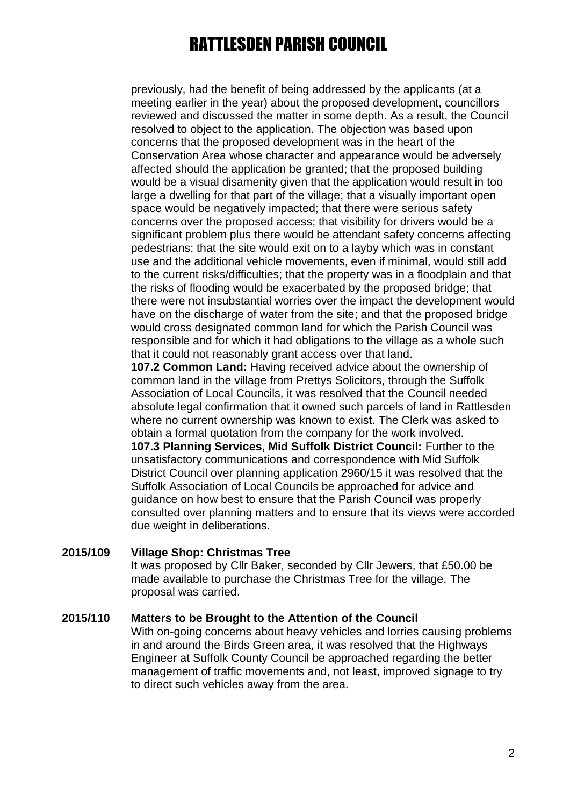previously, had the benefit of being addressed by the applicants (at a meeting earlier in the year) about the proposed development, councillors reviewed and discussed the matter in some depth. As a result, the Council resolved to object to the application. The objection was based upon concerns that the proposed development was in the heart of the Conservation Area whose character and appearance would be adversely affected should the application be granted; that the proposed building would be a visual disamenity given that the application would result in too large a dwelling for that part of the village; that a visually important open space would be negatively impacted; that there were serious safety concerns over the proposed access; that visibility for drivers would be a significant problem plus there would be attendant safety concerns affecting pedestrians; that the site would exit on to a layby which was in constant use and the additional vehicle movements, even if minimal, would still add to the current risks/difficulties; that the property was in a floodplain and that the risks of flooding would be exacerbated by the proposed bridge; that there were not insubstantial worries over the impact the development would have on the discharge of water from the site; and that the proposed bridge would cross designated common land for which the Parish Council was responsible and for which it had obligations to the village as a whole such that it could not reasonably grant access over that land.

**107.2 Common Land:** Having received advice about the ownership of common land in the village from Prettys Solicitors, through the Suffolk Association of Local Councils, it was resolved that the Council needed absolute legal confirmation that it owned such parcels of land in Rattlesden where no current ownership was known to exist. The Clerk was asked to obtain a formal quotation from the company for the work involved. **107.3 Planning Services, Mid Suffolk District Council:** Further to the unsatisfactory communications and correspondence with Mid Suffolk District Council over planning application 2960/15 it was resolved that the Suffolk Association of Local Councils be approached for advice and guidance on how best to ensure that the Parish Council was properly consulted over planning matters and to ensure that its views were accorded due weight in deliberations.

# **2015/109 Village Shop: Christmas Tree**

It was proposed by Cllr Baker, seconded by Cllr Jewers, that £50.00 be made available to purchase the Christmas Tree for the village. The proposal was carried.

# **2015/110 Matters to be Brought to the Attention of the Council**

With on-going concerns about heavy vehicles and lorries causing problems in and around the Birds Green area, it was resolved that the Highways Engineer at Suffolk County Council be approached regarding the better management of traffic movements and, not least, improved signage to try to direct such vehicles away from the area.